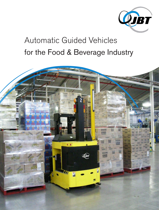

# Automatic Guided Vehicles for the Food & Beverage Industry

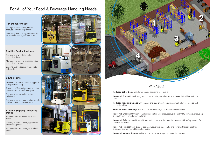# Why AGVs?

- 
- Improved Productivity allowing you to concentrate your labor force on tasks that add value to the
	-
	-
- Improved Efficiency through seamless integration with production, ERP and WMS software, producing
- Improved Safety with vehicles which move in a predictable, controlled manner with safety sensors for
- Improved Flexibility with tools to easily adjust vehicle guidepaths and systems that can easily be
	-

Reduced Product Damage with sensors and load protection devices which allow for precise and secure handling

Reduced Facility Damage with accurate vehicle navigation and obstacle detection

products

a smooth, just-in-time flow of materials

obstacle detection

expanded or even moved to another facility

Improved Material Accountability with accurate tracking of all material movements

Transport of finished product from the palletizers to the stretch wrapper

### 4 At the Shipping/Receiving **Docks**



Reduced Labor Costs with fewer people operating fork trucks

### 1 In the Warehouse

Storage of raw material, finished product, and work-in-process

Interfacing with racking, block stacks on the floor, conveyors, ASRS, etc.

### 2 At the Production Lines

Delivery of raw material to the production lines

Movement of work-in-process during production process

Loading and unloading of automatic batch retorts

### 3 End of Line

Movement from the stretch wrapper to storage or shipping

Delivery of empty pallets to the palletizers

Delivery of packaging materials (empty bottles, boxes, containers, etc.)

Automated trailer unloading of raw material

Delivery of pallets to staging lanes at the shipping docks

Automated trailer loading of finished goods



# For All of Your Food & Beverage Handling Needs